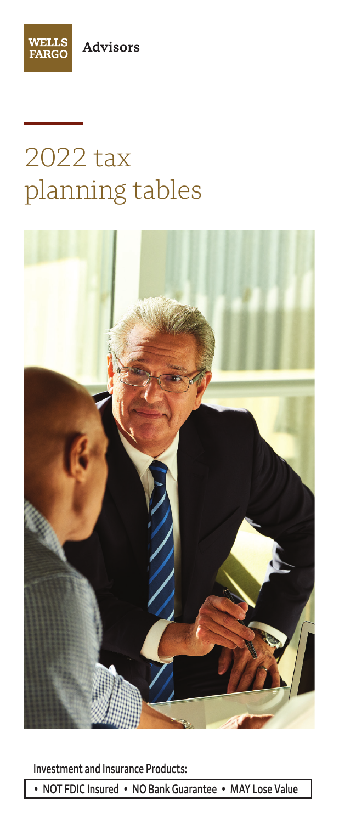



# 2022 tax planning tables



**Investment and Insurance Products:**

**• NOT FDIC Insured • NO Bank Guarantee • MAY Lose Value**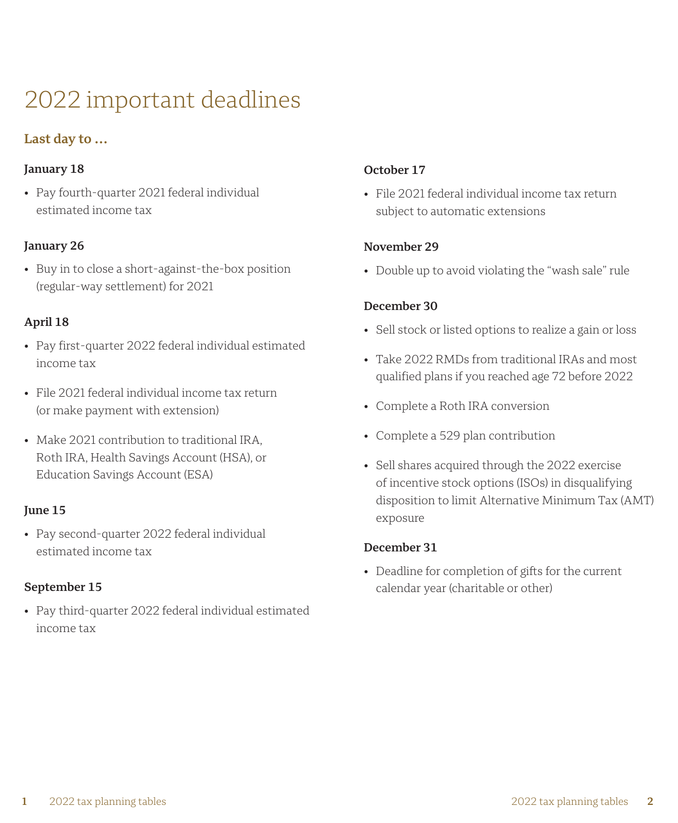## 2022 important deadlines

### **Last day to …**

#### **January 18**

• Pay fourth-quarter 2021 federal individual estimated income tax

#### **January 26**

• Buy in to close a short-against-the-box position (regular-way settlement) for 2021

#### **April 18**

- Pay first-quarter 2022 federal individual estimated income tax
- File 2021 federal individual income tax return (or make payment with extension)
- Make 2021 contribution to traditional IRA, Roth IRA, Health Savings Account (HSA), or Education Savings Account (ESA)

#### **June 15**

• Pay second-quarter 2022 federal individual estimated income tax

#### **September 15**

• Pay third-quarter 2022 federal individual estimated income tax

#### **October 17**

• File 2021 federal individual income tax return subject to automatic extensions

#### **November 29**

• Double up to avoid violating the "wash sale" rule

#### **December 30**

- Sell stock or listed options to realize a gain or loss
- Take 2022 RMDs from traditional IRAs and most qualified plans if you reached age 72 before 2022
- Complete a Roth IRA conversion
- Complete a 529 plan contribution
- Sell shares acquired through the 2022 exercise of incentive stock options (ISOs) in disqualifying disposition to limit Alternative Minimum Tax (AMT) exposure

#### **December 31**

• Deadline for completion of gifts for the current calendar year (charitable or other)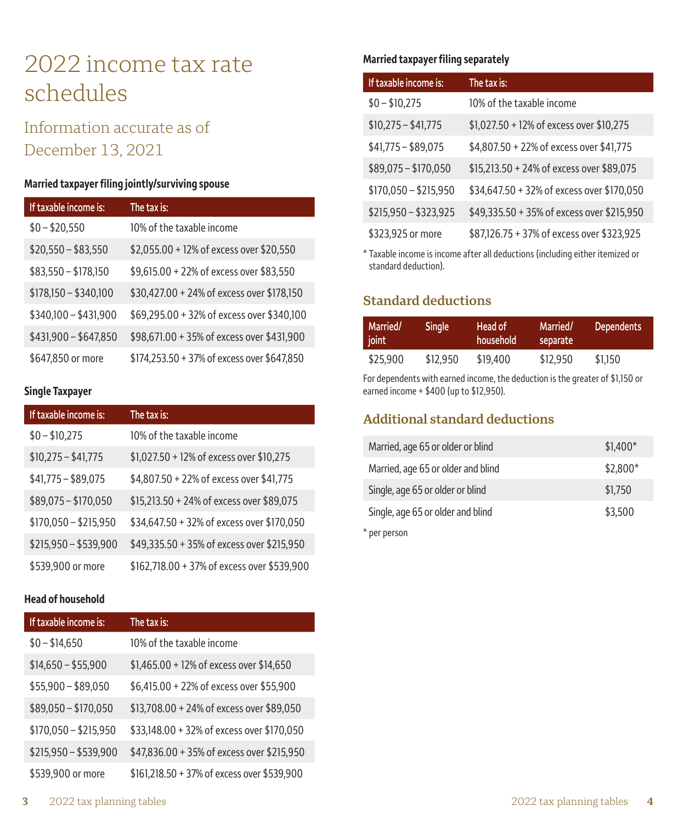## 2022 income tax rate schedules

## Information accurate as of December 13, 2021

#### **Married taxpayer filing jointly/surviving spouse**

| If taxable income is: | The tax is:                                 |
|-----------------------|---------------------------------------------|
| $$0 - $20,550$        | 10% of the taxable income                   |
| $$20,550 - $83,550$   | \$2,055.00 + 12% of excess over \$20,550    |
| $$83,550 - $178,150$  | \$9,615.00 + 22% of excess over \$83,550    |
| $$178,150 - $340,100$ | \$30,427.00 + 24% of excess over \$178,150  |
| $$340,100 - $431,900$ | \$69,295.00 + 32% of excess over \$340,100  |
| $$431,900 - $647,850$ | \$98,671.00 + 35% of excess over \$431,900  |
| \$647,850 or more     | \$174,253.50 + 37% of excess over \$647,850 |

#### **Single Taxpayer**

| If taxable income is: | The tax is:                                 |
|-----------------------|---------------------------------------------|
| $$0 - $10,275$        | 10% of the taxable income                   |
| $$10,275 - $41,775$   | \$1,027.50 + 12% of excess over \$10,275    |
| $$41,775 - $89,075$   | \$4,807.50 + 22% of excess over \$41,775    |
| $$89,075 - $170,050$  | \$15,213.50 + 24% of excess over \$89,075   |
| $$170,050 - $215,950$ | \$34,647.50 + 32% of excess over \$170,050  |
| $$215,950 - $539,900$ | \$49,335.50 + 35% of excess over \$215,950  |
| \$539,900 or more     | \$162,718.00 + 37% of excess over \$539,900 |

#### **Head of household**

| If taxable income is: | The tax is:                                 |
|-----------------------|---------------------------------------------|
| $$0 - $14,650$        | 10% of the taxable income                   |
| $$14,650 - $55,900$   | \$1,465.00 + 12% of excess over \$14,650    |
| $$55,900 - $89,050$   | \$6,415.00 + 22% of excess over \$55,900    |
| $$89,050 - $170,050$  | \$13,708.00 + 24% of excess over \$89,050   |
| $$170,050 - $215,950$ | \$33,148.00 + 32% of excess over \$170,050  |
| $$215,950 - $539,900$ | \$47,836.00 + 35% of excess over \$215,950  |
| \$539,900 or more     | \$161,218.50 + 37% of excess over \$539,900 |

#### **Married taxpayer filing separately**

| If taxable income is: | The tax is:                                |
|-----------------------|--------------------------------------------|
| $$0 - $10,275$        | 10% of the taxable income                  |
| $$10,275 - $41,775$   | \$1,027.50 + 12% of excess over \$10,275   |
| $$41,775 - $89,075$   | \$4,807.50 + 22% of excess over \$41,775   |
| $$89,075 - $170,050$  | \$15,213.50 + 24% of excess over \$89,075  |
| $$170,050 - $215,950$ | \$34,647.50 + 32% of excess over \$170,050 |
| $$215,950 - $323,925$ | \$49,335.50 + 35% of excess over \$215,950 |
| \$323,925 or more     | \$87,126.75 + 37% of excess over \$323,925 |

\* Taxable income is income after all deductions (including either itemized or standard deduction).

### **Standard deductions**

| Married/<br>joint | <b>Single</b> | Head of<br>household | Married/<br>separate | Dependents |
|-------------------|---------------|----------------------|----------------------|------------|
| \$25,900          | \$12.950      | \$19,400             | \$12,950             | \$1.150    |

For dependents with earned income, the deduction is the greater of \$1,150 or earned income + \$400 (up to \$12,950).

## **Additional standard deductions**

| Married, age 65 or older or blind  | $$1,400*$ |
|------------------------------------|-----------|
| Married, age 65 or older and blind | \$2,800*  |
| Single, age 65 or older or blind   | \$1,750   |
| Single, age 65 or older and blind  | \$3,500   |
| * per person                       |           |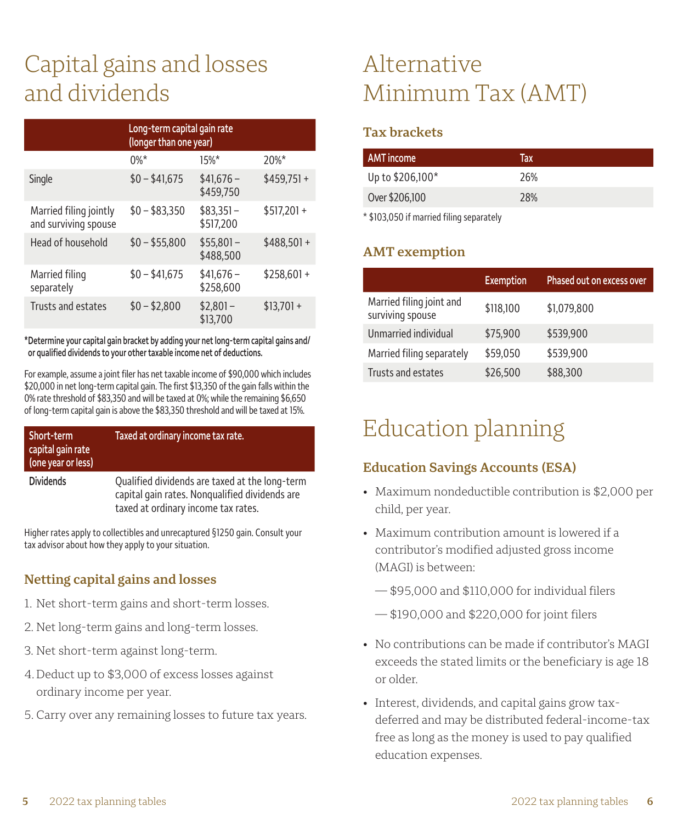## Capital gains and losses and dividends

|                                                | Long-term capital gain rate<br>(longer than one year) |                         |              |
|------------------------------------------------|-------------------------------------------------------|-------------------------|--------------|
|                                                | $0\%*$                                                | $15%$ *                 | $20%$ *      |
| Single                                         | $$0 - $41,675$                                        | $$41.676-$<br>\$459,750 | $$459,751+$  |
| Married filing jointly<br>and surviving spouse | $$0 - $83.350$                                        | $$83.351-$<br>\$517.200 | $$517.201 +$ |
| Head of household                              | $$0 - $55,800$                                        | $$55.801-$<br>\$488,500 | $$488.501 +$ |
| Married filing<br>separately                   | $$0 - $41.675$                                        | $$41.676-$<br>\$258,600 | $$258.601 +$ |
| Trusts and estates                             | $$0 - $2.800$                                         | $$2,801-$<br>\$13,700   | $$13,701 +$  |

**\* Determine your capital gain bracket by adding your net long-term capital gains and/ or qualified dividends to your other taxable income net of deductions.**

For example, assume a joint filer has net taxable income of \$90,000 which includes \$20,000 in net long-term capital gain. The first \$13,350 of the gain falls within the 0% rate threshold of \$83,350 and will be taxed at 0%; while the remaining \$6,650 of long-term capital gain is above the \$83,350 threshold and will be taxed at 15%.

| Short-term<br>capital gain rate<br>(one year or less) | Taxed at ordinary income tax rate.                                                                                                      |
|-------------------------------------------------------|-----------------------------------------------------------------------------------------------------------------------------------------|
| <b>Dividends</b>                                      | Qualified dividends are taxed at the long-term<br>capital gain rates. Nongualified dividends are<br>taxed at ordinary income tax rates. |

Higher rates apply to collectibles and unrecaptured §1250 gain. Consult your tax advisor about how they apply to your situation.

## **Netting capital gains and losses**

- 1. Net short-term gains and short-term losses.
- 2. Net long-term gains and long-term losses.
- 3. Net short-term against long-term.
- 4. Deduct up to \$3,000 of excess losses against ordinary income per year.
- 5. Carry over any remaining losses to future tax years.

## Alternative Minimum Tax (AMT)

### **Tax brackets**

| <b>AMT</b> income | Тах |
|-------------------|-----|
| Up to \$206,100*  | 26% |
| Over \$206,100    | 28% |
|                   |     |

\* \$103,050 if married filing separately

### **AMT exemption**

|                                              | <b>Exemption</b> | Phased out on excess over |
|----------------------------------------------|------------------|---------------------------|
| Married filing joint and<br>surviving spouse | \$118,100        | \$1,079,800               |
| Unmarried individual                         | \$75,900         | \$539,900                 |
| Married filing separately                    | \$59,050         | \$539,900                 |
| Trusts and estates                           | \$26,500         | \$88,300                  |

## Education planning

## **Education Savings Accounts (ESA)**

- Maximum nondeductible contribution is \$2,000 per child, per year.
- Maximum contribution amount is lowered if a contributor's modified adjusted gross income (MAGI) is between:
	- \$95,000 and \$110,000 for individual filers
	- \$190,000 and \$220,000 for joint filers
- No contributions can be made if contributor's MAGI exceeds the stated limits or the beneficiary is age 18 or older.
- Interest, dividends, and capital gains grow taxdeferred and may be distributed federal-income-tax free as long as the money is used to pay qualified education expenses.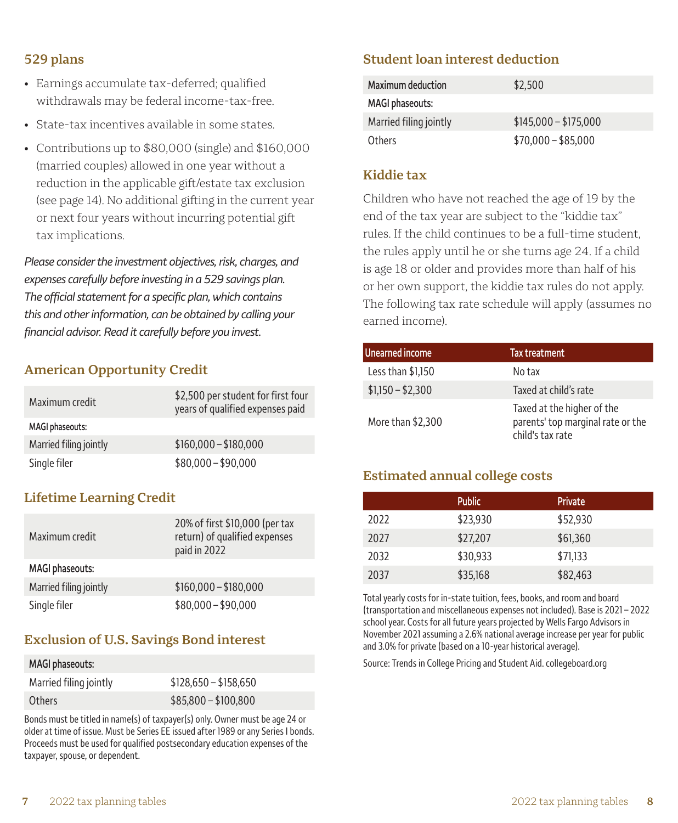- Earnings accumulate tax-deferred; qualified withdrawals may be federal income-tax-free.
- State-tax incentives available in some states.
- Contributions up to \$80,000 (single) and \$160,000 (married couples) allowed in one year without a reduction in the applicable gift/estate tax exclusion (see page 14). No additional gifting in the current year or next four years without incurring potential gift tax implications.

*Please consider the investment objectives, risk, charges, and expenses carefully before investing in a 529 savings plan. The official statement for a specific plan, which contains this and other information, can be obtained by calling your financial advisor. Read it carefully before you invest.*

### **American Opportunity Credit**

| Maximum credit         | \$2,500 per student for first four<br>years of qualified expenses paid |
|------------------------|------------------------------------------------------------------------|
| <b>MAGI phaseouts:</b> |                                                                        |
| Married filing jointly | $$160,000 - $180,000$                                                  |
| Single filer           | $$80,000 - $90,000$                                                    |

### **Lifetime Learning Credit**

| Maximum credit         | 20% of first \$10,000 (per tax<br>return) of qualified expenses<br>paid in 2022 |
|------------------------|---------------------------------------------------------------------------------|
| <b>MAGI phaseouts:</b> |                                                                                 |
| Married filing jointly | $$160,000 - $180,000$                                                           |
| Single filer           | $$80,000 - $90,000$                                                             |

### **Exclusion of U.S. Savings Bond interest**

| MAGI phaseouts:        |                       |
|------------------------|-----------------------|
| Married filing jointly | $$128,650 - $158,650$ |
| Others                 | $$85,800 - $100,800$  |

Bonds must be titled in name(s) of taxpayer(s) only. Owner must be age 24 or older at time of issue. Must be Series EE issued after 1989 or any Series I bonds. Proceeds must be used for qualified postsecondary education expenses of the taxpayer, spouse, or dependent.

#### **Student loan interest deduction**

| <b>Maximum deduction</b> | \$2.500               |
|--------------------------|-----------------------|
| MAGI phaseouts:          |                       |
| Married filing jointly   | $$145,000 - $175,000$ |
| Others                   | $$70,000 - $85,000$   |

#### **Kiddie tax**

Children who have not reached the age of 19 by the end of the tax year are subject to the "kiddie tax" rules. If the child continues to be a full-time student, the rules apply until he or she turns age 24. If a child is age 18 or older and provides more than half of his or her own support, the kiddie tax rules do not apply. The following tax rate schedule will apply (assumes no earned income).

| <b>Unearned income</b> | Tax treatment                                                                       |
|------------------------|-------------------------------------------------------------------------------------|
| Less than \$1,150      | No tax                                                                              |
| $$1,150 - $2,300$      | Taxed at child's rate                                                               |
| More than \$2,300      | Taxed at the higher of the<br>parents' top marginal rate or the<br>child's tax rate |

#### **Estimated annual college costs**

|      | <b>Public</b> | <b>Private</b> |
|------|---------------|----------------|
| 2022 | \$23.930      | \$52,930       |
| 2027 | \$27,207      | \$61,360       |
| 2032 | \$30.933      | \$71,133       |
| 2037 | \$35,168      | \$82,463       |

Total yearly costs for in-state tuition, fees, books, and room and board (transportation and miscellaneous expenses not included). Base is 2021 – 2022 school year. Costs for all future years projected by Wells Fargo Advisors in November 2021 assuming a 2.6% national average increase per year for public and 3.0% for private (based on a 10-year historical average).

Source: Trends in College Pricing and Student Aid. [collegeboard.org](http://www.collegeboard.org)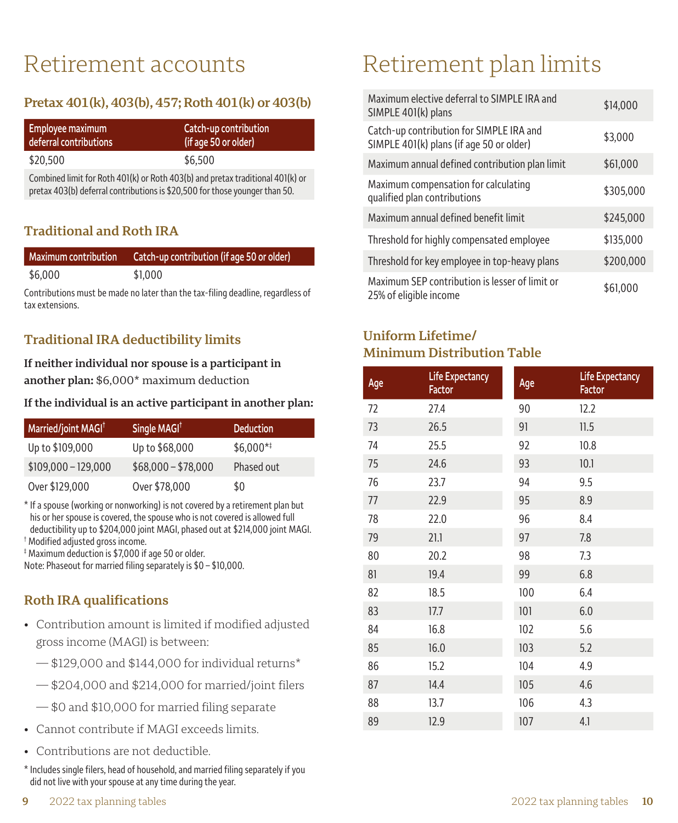## Retirement accounts

## **Pretax 401(k), 403(b), 457; Roth 401(k) or 403(b)**

| Employee maximum       | Catch-up contribution |
|------------------------|-----------------------|
| deferral contributions | (if age 50 or older)  |
| \$20,500               | \$6.500               |

Combined limit for Roth 401(k) or Roth 403(b) and pretax traditional 401(k) or pretax 403(b) deferral contributions is \$20,500 for those younger than 50.

### **Traditional and Roth IRA**

| <b>Maximum contribution</b> | Catch-up contribution (if age 50 or older) |
|-----------------------------|--------------------------------------------|
| \$6,000                     | \$1.000                                    |

Contributions must be made no later than the tax-filing deadline, regardless of tax extensions.

### **Traditional IRA deductibility limits**

**If neither individual nor spouse is a participant in another plan:** \$6,000\* maximum deduction

#### **If the individual is an active participant in another plan:**

| Married/joint MAGI <sup>†</sup> | Single MAGI <sup>t</sup> | <b>Deduction</b> |
|---------------------------------|--------------------------|------------------|
| Up to \$109,000                 | Up to \$68,000           | $$6.000**$       |
| $$109,000 - 129,000$            | $$68,000 - $78,000$      | Phased out       |
| Over \$129,000                  | Over \$78,000            | \$0              |

\* If a spouse (working or nonworking) is not covered by a retirement plan but<br>his or her spouse is covered, the spouse who is not covered is allowed full deductibility up to \$204,000 joint MAGI, phased out at \$214,000 joint MAGI.

†Modified adjusted gross income.

‡Maximum deduction is \$7,000 if age 50 or older.

Note: Phaseout for married filing separately is \$0 – \$10,000.

## **Roth IRA qualifications**

- Contribution amount is limited if modified adjusted gross income (MAGI) is between:
	- $-$  \$129,000 and \$144,000 for individual returns<sup>\*</sup>
	- \$204,000 and \$214,000 for married/joint filers
	- \$0 and \$10,000 for married filing separate
- Cannot contribute if MAGI exceeds limits.
- Contributions are not deductible.
- \* Includes single filers, head of household, and married filing separately if you did not live with your spouse at any time during the year.

## Retirement plan limits

| Maximum elective deferral to SIMPLE IRA and<br>SIMPLE 401(k) plans                   | \$14,000  |
|--------------------------------------------------------------------------------------|-----------|
| Catch-up contribution for SIMPLE IRA and<br>SIMPLE 401(k) plans (if age 50 or older) | \$3,000   |
| Maximum annual defined contribution plan limit                                       | \$61,000  |
| Maximum compensation for calculating<br>qualified plan contributions                 | \$305,000 |
| Maximum annual defined benefit limit                                                 | \$245,000 |
| Threshold for highly compensated employee                                            | \$135,000 |
| Threshold for key employee in top-heavy plans                                        | \$200,000 |
| Maximum SEP contribution is lesser of limit or<br>25% of eligible income             | \$61,000  |

## **Uniform Lifetime/ Minimum Distribution Table**

| Age | Life Expectancy<br>Factor | Age | <b>Life Expectancy</b><br>Factor |
|-----|---------------------------|-----|----------------------------------|
| 72  | 27.4                      | 90  | 12.2                             |
| 73  | 26.5                      | 91  | 11.5                             |
| 74  | 25.5                      | 92  | 10.8                             |
| 75  | 24.6                      | 93  | 10.1                             |
| 76  | 23.7                      | 94  | 9.5                              |
| 77  | 22.9                      | 95  | 8.9                              |
| 78  | 22.0                      | 96  | 8.4                              |
| 79  | 21.1                      | 97  | 7.8                              |
| 80  | 20.2                      | 98  | 7.3                              |
| 81  | 19.4                      | 99  | 6.8                              |
| 82  | 18.5                      | 100 | 6.4                              |
| 83  | 17.7                      | 101 | 6.0                              |
| 84  | 16.8                      | 102 | 5.6                              |
| 85  | 16.0                      | 103 | 5.2                              |
| 86  | 15.2                      | 104 | 4.9                              |
| 87  | 14.4                      | 105 | 4.6                              |
| 88  | 13.7                      | 106 | 4.3                              |
| 89  | 12.9                      | 107 | 4.1                              |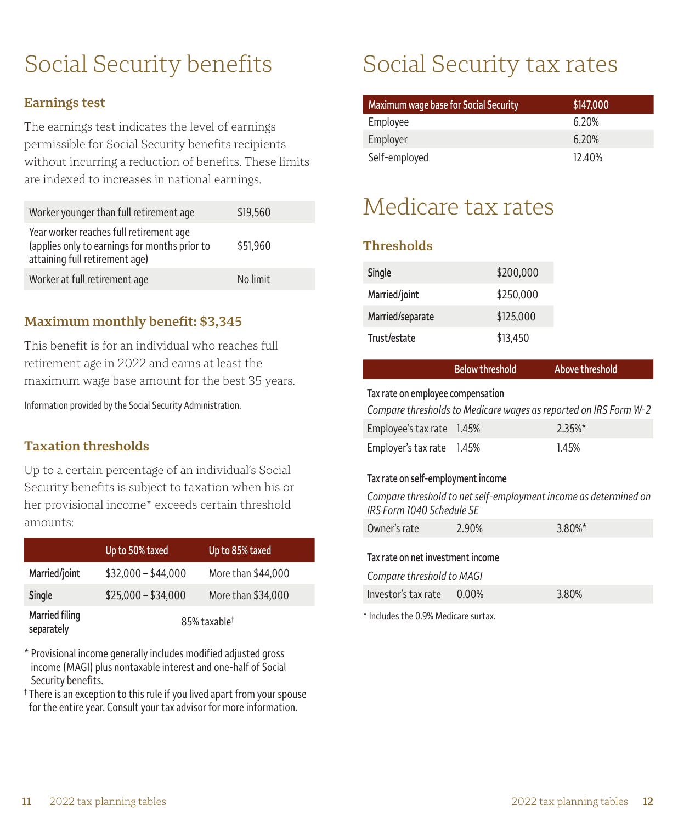## Social Security benefits

### **Earnings test**

The earnings test indicates the level of earnings permissible for Social Security benefits recipients without incurring a reduction of benefits. These limits are indexed to increases in national earnings.

| Worker younger than full retirement age                                                                                    | \$19,560 |
|----------------------------------------------------------------------------------------------------------------------------|----------|
| Year worker reaches full retirement age<br>(applies only to earnings for months prior to<br>attaining full retirement age) | \$51,960 |
| Worker at full retirement age                                                                                              | No limit |

#### **Maximum monthly benefit: \$3,345**

This benefit is for an individual who reaches full retirement age in 2022 and earns at least the maximum wage base amount for the best 35 years.

Information provided by the Social Security Administration.

### **Taxation thresholds**

Up to a certain percentage of an individual's Social Security benefits is subject to taxation when his or her provisional income\* exceeds certain threshold amounts:

|                              | Up to 50% taxed          | Up to 85% taxed    |
|------------------------------|--------------------------|--------------------|
| Married/joint                | $$32,000 - $44,000$      | More than \$44,000 |
| Single                       | $$25,000 - $34,000$      | More than \$34,000 |
| Married filing<br>separately | 85% taxable <sup>†</sup> |                    |

\* Provisional income generally includes modified adjusted gross income (MAGI) plus nontaxable interest and one-half of Social Security benefits.

† There is an exception to this rule if you lived apart from your spouse for the entire year. Consult your tax advisor for more information.

## Social Security tax rates

| Maximum wage base for Social Security | \$147,000 |
|---------------------------------------|-----------|
| Employee                              | 6.20%     |
| Employer                              | 6.20%     |
| Self-employed                         | 12.40%    |

## Medicare tax rates

### **Thresholds**

| Single           | \$200,000 |
|------------------|-----------|
| Married/joint    | \$250,000 |
| Married/separate | \$125,000 |
| Trust/estate     | \$13.450  |

|                                   | <b>Below threshold</b> | Above threshold                                                  |  |
|-----------------------------------|------------------------|------------------------------------------------------------------|--|
| Tax rate on employee compensation |                        |                                                                  |  |
|                                   |                        | Compare thresholds to Medicare wages as reported on IRS Form W-2 |  |
| $Emplowole$ tay rate $1.45\%$     |                        | 7.2E0/x                                                          |  |

| Employee's tax rate 1.45% | $2.35%$ * |
|---------------------------|-----------|
| Employer's tax rate 1.45% | 1.45%     |

#### **Tax rate on self-employment income**

*Compare threshold to net self-employment income as determined on IRS Form 1040 Schedule SE*

| Owner's rate                      | 2.90% | 3.80%* |  |  |
|-----------------------------------|-------|--------|--|--|
| Tax rate on net investment income |       |        |  |  |
| Compare threshold to MAGI         |       |        |  |  |
| Investor's tax rate $0.00\%$      |       | 3.80%  |  |  |

\* Includes the 0.9% Medicare surtax.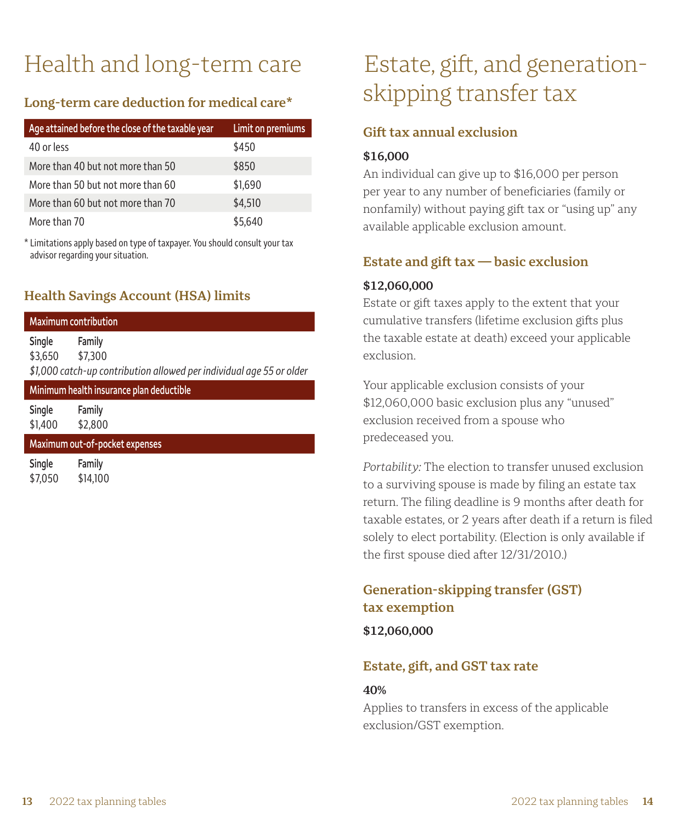# Health and long-term care

## **Long-term care deduction for medical care\***

| Age attained before the close of the taxable year | Limit on premiums |
|---------------------------------------------------|-------------------|
| 40 or less                                        | \$450             |
| More than 40 but not more than 50                 | \$850             |
| More than 50 but not more than 60                 | \$1,690           |
| More than 60 but not more than 70                 | \$4,510           |
| More than 70                                      | \$5.640           |

\* Limitations apply based on type of taxpayer. You should consult your tax advisor regarding your situation.

## **Health Savings Account (HSA) limits**

|                                | <b>Maximum contribution</b>                                                               |  |  |
|--------------------------------|-------------------------------------------------------------------------------------------|--|--|
| Single<br>\$3,650              | Family<br>\$7,300<br>\$1,000 catch-up contribution allowed per individual age 55 or older |  |  |
|                                | Minimum health insurance plan deductible                                                  |  |  |
| Single<br>\$1,400              | Family<br>\$2,800                                                                         |  |  |
| Maximum out-of-pocket expenses |                                                                                           |  |  |
| Single                         | Family                                                                                    |  |  |

## Estate, gift, and generationskipping transfer tax

### **Gift tax annual exclusion**

#### **\$16,000**

An individual can give up to \$16,000 per person per year to any number of beneficiaries (family or nonfamily) without paying gift tax or "using up" any available applicable exclusion amount.

### **Estate and gift tax — basic exclusion**

#### **\$12,060,000**

Estate or gift taxes apply to the extent that your cumulative transfers (lifetime exclusion gifts plus the taxable estate at death) exceed your applicable exclusion.

Your applicable exclusion consists of your \$12,060,000 basic exclusion plus any "unused" exclusion received from a spouse who predeceased you.

*Portability:* The election to transfer unused exclusion to a surviving spouse is made by filing an estate tax return. The filing deadline is 9 months after death for taxable estates, or 2 years after death if a return is filed solely to elect portability. (Election is only available if the first spouse died after 12/31/2010.)

## **Generation-skipping transfer (GST) tax exemption**

**\$12,060,000**

## **Estate, gift, and GST tax rate**

#### **40%**

Applies to transfers in excess of the applicable exclusion/GST exemption.

\$7,050 \$14,100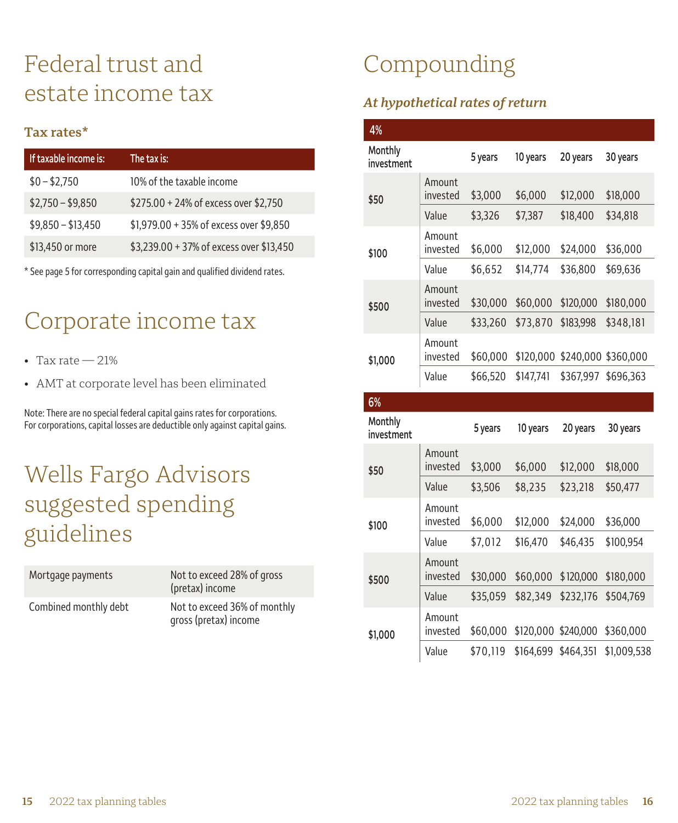## Federal trust and estate income tax

#### **Tax rates\***

| If taxable income is: | The tax is:                               |
|-----------------------|-------------------------------------------|
| $$0 - $2,750$         | 10% of the taxable income                 |
| $$2,750 - $9,850$     | \$275.00 + 24% of excess over \$2,750     |
| $$9,850 - $13,450$    | $$1,979.00 + 35\%$ of excess over \$9,850 |
| \$13,450 or more      | \$3,239.00 + 37% of excess over \$13,450  |

\* See page 5 for corresponding capital gain and qualified dividend rates.

## Corporate income tax

- $•$  Tax rate  $-21%$
- AMT at corporate level has been eliminated

Note: There are no special federal capital gains rates for corporations. For corporations, capital losses are deductible only against capital gains.

## Wells Fargo Advisors suggested spending guidelines

| Mortgage payments     | Not to exceed 28% of gross<br>(pretax) income         |
|-----------------------|-------------------------------------------------------|
| Combined monthly debt | Not to exceed 36% of monthly<br>gross (pretax) income |

## Compounding

## *At hypothetical rates of return*

| 4%                    |                    |          |           |           |                     |
|-----------------------|--------------------|----------|-----------|-----------|---------------------|
| Monthly<br>investment |                    | 5 years  | 10 years  | 20 years  | 30 years            |
| \$50                  | Amount<br>invested | \$3,000  | \$6,000   | \$12,000  | \$18,000            |
|                       | Value              | \$3,326  | \$7,387   | \$18,400  | \$34,818            |
| \$100                 | Amount<br>invested | \$6,000  | \$12,000  | \$24.000  | \$36.000            |
|                       | Value              | \$6,652  | \$14,774  | \$36,800  | \$69.636            |
| \$500                 | Amount<br>invested | \$30,000 | \$60,000  | \$120,000 | \$180,000           |
|                       | Value              | \$33,260 | \$73,870  | \$183,998 | \$348,181           |
| \$1,000               | Amount<br>invested | \$60,000 | \$120,000 |           | \$240,000 \$360,000 |
|                       | Value              | \$66,520 | \$147.741 | \$367.997 | \$696.363           |

#### **6%**

| Monthly<br>investment |                    | 5 years  | 10 years  | 20 years            | 30 years    |
|-----------------------|--------------------|----------|-----------|---------------------|-------------|
| \$50                  | Amount<br>invested | \$3,000  | \$6,000   | \$12,000            | \$18,000    |
|                       | Value              | \$3,506  | \$8,235   | \$23,218            | \$50,477    |
| \$100                 | Amount<br>invested | \$6,000  | \$12,000  | \$24,000            | \$36,000    |
|                       | Value              | \$7.012  | \$16,470  | \$46,435            | \$100,954   |
| \$500                 | Amount<br>invested | \$30,000 | \$60,000  | \$120,000           | \$180,000   |
|                       | Value              | \$35,059 | \$82,349  | \$232,176           | \$504.769   |
| \$1,000               | Amount<br>invested | \$60,000 |           | \$120,000 \$240,000 | \$360,000   |
|                       | Value              | \$70.119 | \$164.699 | \$464.351           | \$1.009.538 |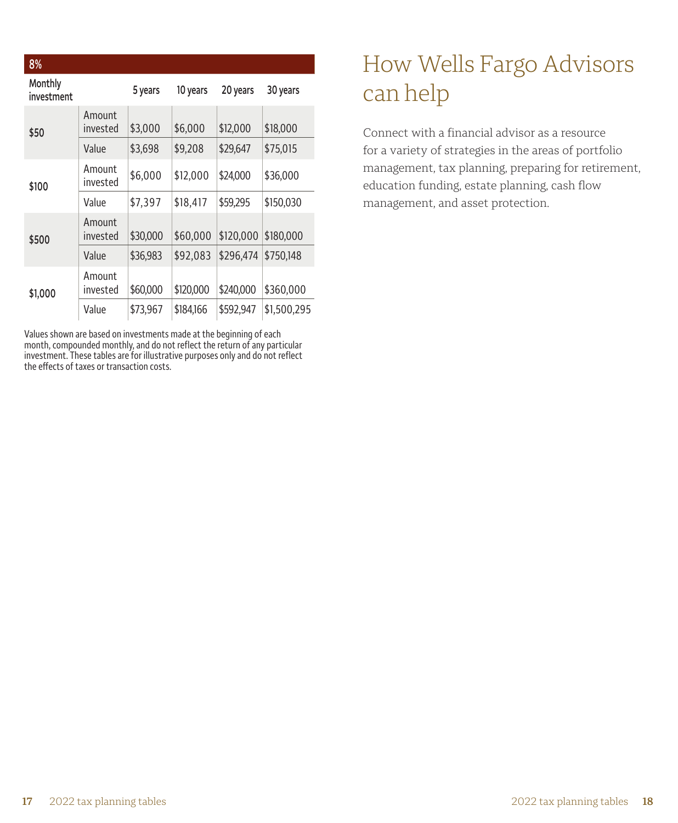| 8%                    |                    |          |           |           |             |
|-----------------------|--------------------|----------|-----------|-----------|-------------|
| Monthly<br>investment |                    | 5 years  | 10 years  | 20 years  | 30 years    |
| \$50                  | Amount<br>invested | \$3,000  | \$6,000   | \$12,000  | \$18,000    |
|                       | Value              | \$3,698  | \$9,208   | \$29,647  | \$75,015    |
| \$100                 | Amount<br>invested | \$6,000  | \$12,000  | \$24,000  | \$36,000    |
|                       | Value              | \$7,397  | \$18,417  | \$59.295  | \$150,030   |
| \$500                 | Amount<br>invested | \$30,000 | \$60,000  | \$120,000 | \$180,000   |
|                       | Value              | \$36,983 | \$92,083  | \$296.474 | \$750.148   |
| \$1,000               | Amount<br>invested | \$60,000 | \$120,000 | \$240,000 | \$360,000   |
|                       | Value              | \$73,967 | \$184,166 | \$592,947 | \$1,500,295 |

Values shown are based on investments made at the beginning of each month, compounded monthly, and do not reflect the return of any particular investment. These tables are for illustrative purposes only and do not reflect the effects of taxes or transaction costs.

## How Wells Fargo Advisors can help

Connect with a financial advisor as a resource for a variety of strategies in the areas of portfolio management, tax planning, preparing for retirement, education funding, estate planning, cash flow management, and asset protection.